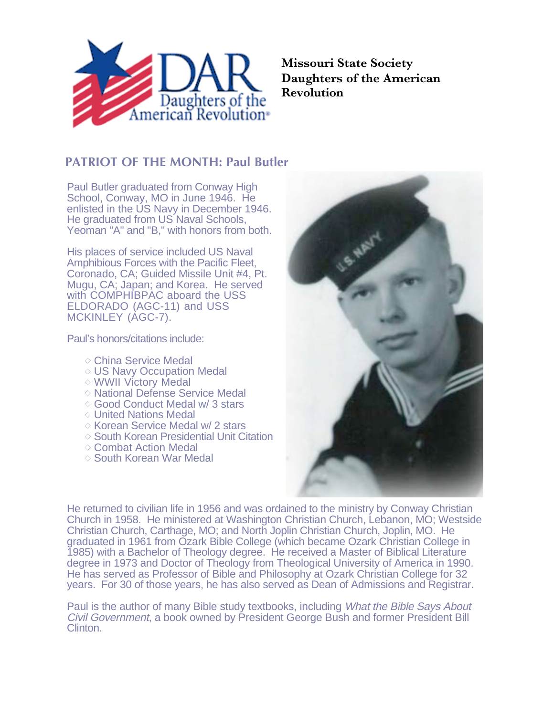

**Missouri State Society Daughters of the American Revolution**

## **PATRIOT OF THE MONTH: Paul Butler**

Paul Butler graduated from Conway High School, Conway, MO in June 1946. He enlisted in the US Navy in December 1946. He graduated from US Naval Schools, Yeoman "A" and "B," with honors from both.

His places of service included US Naval Amphibious Forces with the Pacific Fleet, Coronado, CA; Guided Missile Unit #4, Pt. Mugu, CA; Japan; and Korea. He served with COMPHIBPAC aboard the USS ELDORADO (AGC-11) and USS MCKINLEY (AGC-7).

Paul's honors/citations include:

- China Service Medal
- US Navy Occupation Medal
- WWII Victory Medal
- ◇ National Defense Service Medal
- Good Conduct Medal w/ 3 stars
- United Nations Medal
- $\diamond$  Korean Service Medal w/ 2 stars
- $\Diamond$  South Korean Presidential Unit Citation
- Combat Action Medal
- $\diamond$  South Korean War Medal



He returned to civilian life in 1956 and was ordained to the ministry by Conway Christian Church in 1958. He ministered at Washington Christian Church, Lebanon, MO; Westside Christian Church, Carthage, MO; and North Joplin Christian Church, Joplin, MO. He graduated in 1961 from Ozark Bible College (which became Ozark Christian College in 1985) with a Bachelor of Theology degree. He received a Master of Biblical Literature degree in 1973 and Doctor of Theology from Theological University of America in 1990. He has served as Professor of Bible and Philosophy at Ozark Christian College for 32 years. For 30 of those years, he has also served as Dean of Admissions and Registrar.

Paul is the author of many Bible study textbooks, including What the Bible Says About Civil Government, a book owned by President George Bush and former President Bill Clinton.